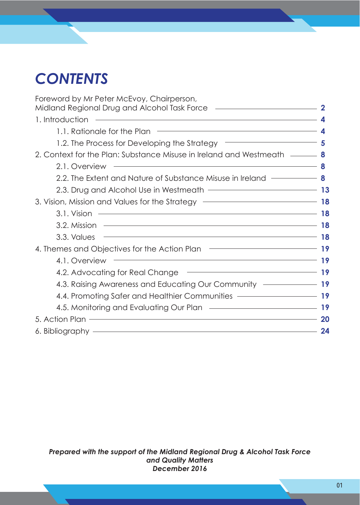# *CONTENTS*

| Foreword by Mr Peter McEvoy, Chairperson,<br>Midland Regional Drug and Alcohol Task Force <b>[18]</b> Midland Regional Drug and Alcohol Task Force <b>[18]</b>                                                                       |             |
|--------------------------------------------------------------------------------------------------------------------------------------------------------------------------------------------------------------------------------------|-------------|
| <u> 1989 - Johann Stein, marwolaethau a bhannaich an t-Albann an t-Albann an t-Albann an t-Albann an t-Albann an</u><br>1. Introduction                                                                                              | $\mathbf 4$ |
| 1.1. Rationale for the Plan <b>Constantine Constantine Constantine Constantine Constantine Constantine Constantine Constantine Constantine Constantine Constantine Constantine Constantine Constantine Constantine Constantine C</b> |             |
| 1.2. The Process for Developing the Strategy – The Contract of Superintendent Superintendent Superintendent Su                                                                                                                       |             |
| 2. Context for the Plan: Substance Misuse in Ireland and Westmeath — 8                                                                                                                                                               |             |
| $\overline{\phantom{a}}$ 8<br>2.1. Overview                                                                                                                                                                                          |             |
| 2.2. The Extent and Nature of Substance Misuse in Ireland $\frac{1}{1-\frac{1}{\sqrt{2}}}\times 8$                                                                                                                                   |             |
| 2.3. Drug and Alcohol Use in Westmeath ––––––––––––––––––––––––––––13                                                                                                                                                                |             |
| 3. Vision, Mission and Values for the Strategy – The Context of the Strategy – 18                                                                                                                                                    |             |
|                                                                                                                                                                                                                                      |             |
| 3.2. Mission <b>18</b>                                                                                                                                                                                                               |             |
| $\overline{\phantom{a}}$ 18<br>3.3. Values                                                                                                                                                                                           |             |
| 4. Themes and Objectives for the Action Plan ––––––––––––––––––––––––––19                                                                                                                                                            |             |
| <u> Alexandro de la contrada de la contrada de la contrada de la contrada de la contrada de la contrada de la con</u><br>4.1. Overview                                                                                               | 19          |
| 4.2. Advocating for Real Change – 19                                                                                                                                                                                                 |             |
| 4.3. Raising Awareness and Educating Our Community – 19                                                                                                                                                                              |             |
| 4.4. Promoting Safer and Healthier Communities ––––––––––––––––––––19                                                                                                                                                                |             |
| 4.5. Monitoring and Evaluating Our Plan - The Contract of the Manuscript of the Manuscript of the Manuscript of the Manuscript of the Manuscript of the Manuscript of the Manuscript of the Manuscript of the Manuscript of th       |             |
|                                                                                                                                                                                                                                      | <b>20</b>   |
| 6. Bibliography - All and the state of the state of the state of the state of the state of the state of the state of the state of the state of the state of the state of the state of the state of the state of the state of t       | 24          |

*Prepared with the support of the Midland Regional Drug & Alcohol Task Force and Quality Matters December 2016*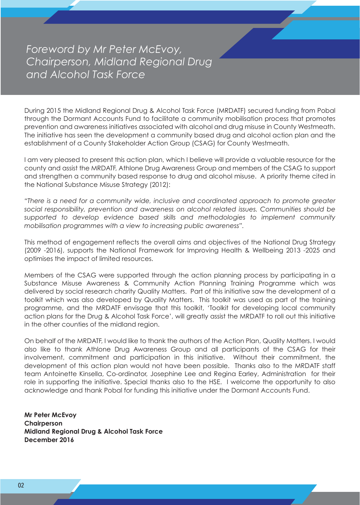*Foreword by Mr Peter McEvoy, Chairperson, Midland Regional Drug and Alcohol Task Force*

During 2015 the Midland Regional Drug & Alcohol Task Force (MRDATF) secured funding from Pobal through the Dormant Accounts Fund to facilitate a community mobilisation process that promotes prevention and awareness initiatives associated with alcohol and drug misuse in County Westmeath. The initiative has seen the development a community based drug and alcohol action plan and the establishment of a County Stakeholder Action Group (CSAG) for County Westmeath.

I am very pleased to present this action plan, which I believe will provide a valuable resource for the county and assist the MRDATF, Athlone Drug Awareness Group and members of the CSAG to support and strengthen a community based response to drug and alcohol misuse. A priority theme cited in the National Substance Misuse Strategy (2012):

*"There is a need for a community wide, inclusive and coordinated approach to promote greater social responsibility, prevention and awareness on alcohol related issues. Communities should be supported to develop evidence based skills and methodologies to implement community mobilisation programmes with a view to increasing public awareness".* 

This method of engagement reflects the overall aims and objectives of the National Drug Strategy (2009 -2016), supports the National Framework for Improving Health & Wellbeing 2013 -2025 and optimises the impact of limited resources.

Members of the CSAG were supported through the action planning process by participating in a Substance Misuse Awareness & Community Action Planning Training Programme which was delivered by social research charity Quality Matters. Part of this initiative saw the development of a toolkit which was also developed by Quality Matters. This toolkit was used as part of the training programme, and the MRDATF envisage that this toolkit, 'Toolkit for developing local community action plans for the Drug & Alcohol Task Force', will greatly assist the MRDATF to roll out this initiative in the other counties of the midland region.

On behalf of the MRDATF, I would like to thank the authors of the Action Plan, Quality Matters. I would also like to thank Athlone Drug Awareness Group and all participants of the CSAG for their involvement, commitment and participation in this initiative. Without their commitment, the development of this action plan would not have been possible. Thanks also to the MRDATF staff team Antoinette Kinsella, Co-ordinator, Josephine Lee and Regina Earley, Administration for their role in supporting the initiative. Special thanks also to the HSE. I welcome the opportunity to also acknowledge and thank Pobal for funding this initiative under the Dormant Accounts Fund.

**Mr Peter McEvoy Chairperson Midland Regional Drug & Alcohol Task Force December 2016**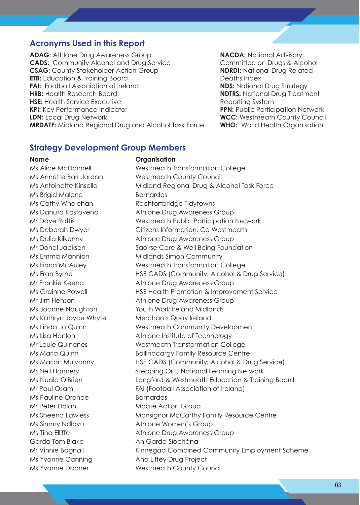#### **Acronyms Used in this Report**

**ADAG:** Athlone Drug Awareness Group **NACDA:** National Advisory **CADS:** Community Alcohol and Drug Service **Committee On Drugs & Alcohol CSAG:** County Stakeholder Action Group **NDRDI:** National Drug Related **ETB:** Education & Training Board Deaths Index FAI: Football Association of Ireland **NDS:** National Drug Strategy **HRB:** Health Research Board **NDTRS:** National Drug Treatment **HSE:** Health Service Executive **Reporting System** Reporting System **KPI:** Key Performance Indicator **PPN:** Public Participation Network **LDN:** Local Drug Network **WCC:** Westmeath County Council **MRDATF:** Midland Regional Drug and Alcohol Task Force **WHO:** World Health Organisation

#### **Strategy Development Group Members**

#### **Name Organisation**

Ms Alice McDonnell Westmeath Transformation College Ms Brigid Malone Barnardos Ms Kathryn Joyce Whyte Merchants Quay Ireland Ms Pauline Orohoe Barnardos Mr Peter Dolan Moate Action Group Ms Simmy Ndlovu Athlone Women's Group Garda Tom Blake An Garda Síochána Ms Yvonne Canning The Ana Liffey Drug Project

Ms Annette Barr Jordan Westmeath County Council Ms Antoinette Kinsella Midland Regional Drug & Alcohol Task Force Ms Cathy Whelehan Rochfortbridge Tidytowns Ms Danuta Kostovena **Athlone Drug Awareness Group** Mr Dave Raftis Westmeath Public Participation Network Ms Deborah Dwyer Citizens Information, Co Westmeath Ms Delia Kilkenny **Athlone Drug Awareness Group** Mr Donal Jackson Saoirse Care & Well Being Foundation Ms Emma Mannion Midlands Simon Community Ms Fiona McAuley Westmeath Transformation College Ms Fran Byrne HSE CADS (Community, Alcohol & Drug Service) Mr Frankie Keena **Athlone Drug Awareness Group** Ms Grainne Powell **HSE Health Promotion & Improvement Service** Mr Jim Henson **Athlone Drug Awareness Group** Ms Joanne Naughton Youth Work Ireland Midlands Ms Linda Jo Quinn Westmeath Community Development Ms Lisa Hanlon **Athlone Institute of Technology** Mr Louie Quinones Westmeath Transformation College Ms Maria Quinn **Ballinacargy Family Resource Centre** Ms Marion Mulvanny HSE CADS (Community, Alcohol & Drug Service) Mr Neil Flannery Stepping Out, National Learning Network Ms Nuala O'Brien Longford & Westmeath Education & Training Board Mr Paul Osam FAI (Football Association of Ireland) Ms Sheena Lawless Monsignor McCarthy Family Resource Centre Ms Tina Elliffe Athlone Drug Awareness Group Mr Vinnie Bagnall **Kinnegad Combined Community Employment Scheme** Ms Yvonne Dooner Westmeath County Council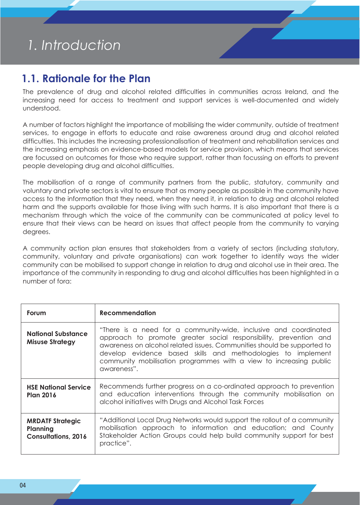# *1. Introduction*

## **1.1. Rationale for the Plan**

The prevalence of drug and alcohol related difficulties in communities across Ireland, and the increasing need for access to treatment and support services is well-documented and widely understood.

A number of factors highlight the importance of mobilising the wider community, outside of treatment services, to engage in efforts to educate and raise awareness around drug and alcohol related difficulties. This includes the increasing professionalisation of treatment and rehabilitation services and the increasing emphasis on evidence-based models for service provision, which means that services are focussed on outcomes for those who require support, rather than focussing on efforts to prevent people developing drug and alcohol difficulties.

The mobilisation of a range of community partners from the public, statutory, community and voluntary and private sectors is vital to ensure that as many people as possible in the community have access to the information that they need, when they need it, in relation to drug and alcohol related harm and the supports available for those living with such harms. It is also important that there is a mechanism through which the voice of the community can be communicated at policy level to ensure that their views can be heard on issues that affect people from the community to varying degrees.

A community action plan ensures that stakeholders from a variety of sectors (including statutory, community, voluntary and private organisations) can work together to identify ways the wider community can be mobilised to support change in relation to drug and alcohol use in their area. The importance of the community in responding to drug and alcohol difficulties has been highlighted in a number of fora:

| Forum                                                             | <b>Recommendation</b>                                                                                                                                                                                                                                                                                                                                                 |
|-------------------------------------------------------------------|-----------------------------------------------------------------------------------------------------------------------------------------------------------------------------------------------------------------------------------------------------------------------------------------------------------------------------------------------------------------------|
| <b>National Substance</b><br><b>Misuse Strategy</b>               | "There is a need for a community-wide, inclusive and coordinated<br>approach to promote greater social responsibility, prevention and<br>awareness on alcohol related issues. Communities should be supported to<br>develop evidence based skills and methodologies to implement<br>community mobilisation programmes with a view to increasing public<br>awareness". |
| <b>HSE National Service</b><br><b>Plan 2016</b>                   | Recommends further progress on a co-ordinated approach to prevention<br>and education interventions through the community mobilisation on<br>alcohol initiatives with Drugs and Alcohol Task Forces                                                                                                                                                                   |
| <b>MRDATF Strategic</b><br>Planning<br><b>Consultations, 2016</b> | "Additional Local Drug Networks would support the rollout of a community<br>mobilisation approach to information and education; and County<br>Stakeholder Action Groups could help build community support for best<br>practice".                                                                                                                                     |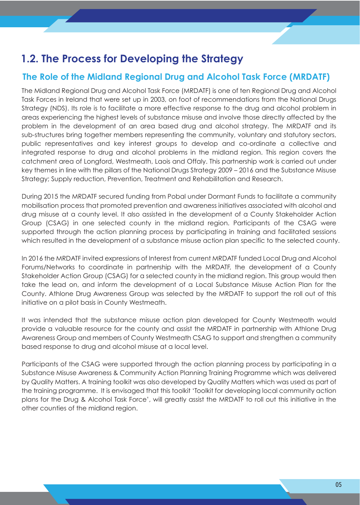# **1.2. The Process for Developing the Strategy**

### **The Role of the Midland Regional Drug and Alcohol Task Force (MRDATF)**

The Midland Regional Drug and Alcohol Task Force (MRDATF) is one of ten Regional Drug and Alcohol Task Forces in Ireland that were set up in 2003, on foot of recommendations from the National Drugs Strategy (NDS). Its role is to facilitate a more effective response to the drug and alcohol problem in areas experiencing the highest levels of substance misuse and involve those directly affected by the problem in the development of an area based drug and alcohol strategy. The MRDATF and its sub-structures bring together members representing the community, voluntary and statutory sectors, public representatives and key interest groups to develop and co-ordinate a collective and integrated response to drug and alcohol problems in the midland region. This region covers the catchment area of Longford, Westmeath, Laois and Offaly. This partnership work is carried out under key themes in line with the pillars of the National Drugs Strategy 2009 – 2016 and the Substance Misuse Strategy; Supply reduction, Prevention, Treatment and Rehabilitation and Research.

During 2015 the MRDATF secured funding from Pobal under Dormant Funds to facilitate a community mobilisation process that promoted prevention and awareness initiatives associated with alcohol and drug misuse at a county level. It also assisted in the development of a County Stakeholder Action Group (CSAG) in one selected county in the midland region. Participants of the CSAG were supported through the action planning process by participating in training and facilitated sessions which resulted in the development of a substance misuse action plan specific to the selected county.

In 2016 the MRDATF invited expressions of Interest from current MRDATF funded Local Drug and Alcohol Forums/Networks to coordinate in partnership with the MRDATF, the development of a County Stakeholder Action Group (CSAG) for a selected county in the midland region. This group would then take the lead on, and inform the development of a Local Substance Misuse Action Plan for the County. Athlone Drug Awareness Group was selected by the MRDATF to support the roll out of this initiative on a pilot basis in County Westmeath.

It was intended that the substance misuse action plan developed for County Westmeath would provide a valuable resource for the county and assist the MRDATF in partnership with Athlone Drug Awareness Group and members of County Westmeath CSAG to support and strengthen a community based response to drug and alcohol misuse at a local level.

Participants of the CSAG were supported through the action planning process by participating in a Substance Misuse Awareness & Community Action Planning Training Programme which was delivered by Quality Matters. A training toolkit was also developed by Quality Matters which was used as part of the training programme. It is envisaged that this toolkit 'Toolkit for developing local community action plans for the Drug & Alcohol Task Force', will greatly assist the MRDATF to roll out this initiative in the other counties of the midland region.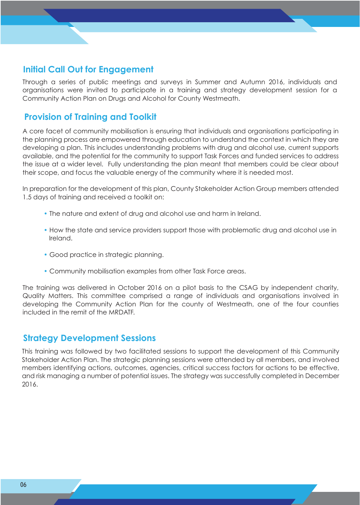### **Initial Call Out for Engagement**

Through a series of public meetings and surveys in Summer and Autumn 2016, individuals and organisations were invited to participate in a training and strategy development session for a Community Action Plan on Drugs and Alcohol for County Westmeath.

### **Provision of Training and Toolkit**

A core facet of community mobilisation is ensuring that individuals and organisations participating in the planning process are empowered through education to understand the context in which they are developing a plan. This includes understanding problems with drug and alcohol use, current supports available, and the potential for the community to support Task Forces and funded services to address the issue at a wider level. Fully understanding the plan meant that members could be clear about their scope, and focus the valuable energy of the community where it is needed most.

In preparation for the development of this plan, County Stakeholder Action Group members attended 1.5 days of training and received a toolkit on:

- The nature and extent of drug and alcohol use and harm in Ireland.
- How the state and service providers support those with problematic drug and alcohol use in Ireland.
- Good practice in strategic planning.
- Community mobilisation examples from other Task Force areas.

The training was delivered in October 2016 on a pilot basis to the CSAG by independent charity, Quality Matters. This committee comprised a range of individuals and organisations involved in developing the Community Action Plan for the county of Westmeath, one of the four counties included in the remit of the MRDATF.

### **Strategy Development Sessions**

This training was followed by two facilitated sessions to support the development of this Community Stakeholder Action Plan. The strategic planning sessions were attended by all members, and involved members identifying actions, outcomes, agencies, critical success factors for actions to be effective, and risk managing a number of potential issues. The strategy was successfully completed in December 2016.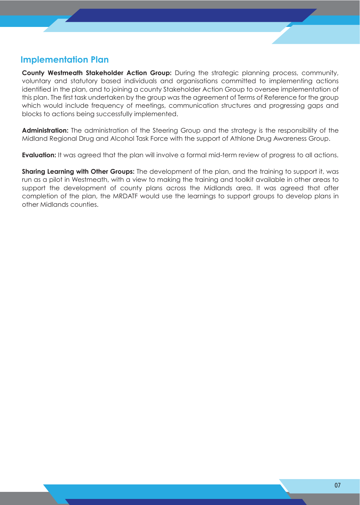### **Implementation Plan**

**County Westmeath Stakeholder Action Group:** During the strategic planning process, community, voluntary and statutory based individuals and organisations committed to implementing actions identified in the plan, and to joining a county Stakeholder Action Group to oversee implementation of this plan. The first task undertaken by the group was the agreement of Terms of Reference for the group which would include frequency of meetings, communication structures and progressing gaps and blocks to actions being successfully implemented.

**Administration:** The administration of the Steering Group and the strategy is the responsibility of the Midland Regional Drug and Alcohol Task Force with the support of Athlone Drug Awareness Group.

**Evaluation:** It was agreed that the plan will involve a formal mid-term review of progress to all actions.

**Sharing Learning with Other Groups:** The development of the plan, and the training to support it, was run as a pilot in Westmeath, with a view to making the training and toolkit available in other areas to support the development of county plans across the Midlands area. It was agreed that after completion of the plan, the MRDATF would use the learnings to support groups to develop plans in other Midlands counties.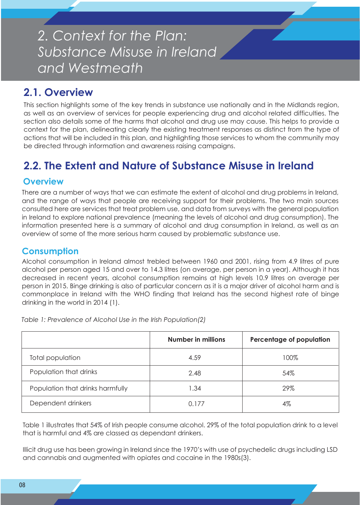# *2. Context for the Plan: Substance Misuse in Ireland and Westmeath*

# **2.1. Overview**

This section highlights some of the key trends in substance use nationally and in the Midlands region, as well as an overview of services for people experiencing drug and alcohol related difficulties. The section also details some of the harms that alcohol and drug use may cause. This helps to provide a context for the plan, delineating clearly the existing treatment responses as distinct from the type of actions that will be included in this plan, and highlighting those services to whom the community may be directed through information and awareness raising campaigns.

# **2.2. The Extent and Nature of Substance Misuse in Ireland**

### **Overview**

There are a number of ways that we can estimate the extent of alcohol and drug problems in Ireland, and the range of ways that people are receiving support for their problems. The two main sources consulted here are services that treat problem use, and data from surveys with the general population in Ireland to explore national prevalence (meaning the levels of alcohol and drug consumption). The information presented here is a summary of alcohol and drug consumption in Ireland, as well as an overview of some of the more serious harm caused by problematic substance use.

### **Consumption**

Alcohol consumption in Ireland almost trebled between 1960 and 2001, rising from 4.9 litres of pure alcohol per person aged 15 and over to 14.3 litres (on average, per person in a year). Although it has decreased in recent years, alcohol consumption remains at high levels 10.9 litres on average per person in 2015. Binge drinking is also of particular concern as it is a major driver of alcohol harm and is commonplace in Ireland with the WHO finding that Ireland has the second highest rate of binge drinking in the world in 2014 (1).

*Table 1: Prevalence of Alcohol Use in the Irish Population(2)* 

|                                  | <b>Number in millions</b> | Percentage of population |
|----------------------------------|---------------------------|--------------------------|
| Total population                 | 4.59                      | 100%                     |
| Population that drinks           | 2.48                      | 54%                      |
| Population that drinks harmfully | 34. ا                     | 29%                      |
| Dependent drinkers               | 0.177                     | 4%                       |

Table 1 illustrates that 54% of Irish people consume alcohol. 29% of the total population drink to a level that is harmful and 4% are classed as dependant drinkers.

Illicit drug use has been growing in Ireland since the 1970's with use of psychedelic drugs including LSD and cannabis and augmented with opiates and cocaine in the 1980s(3).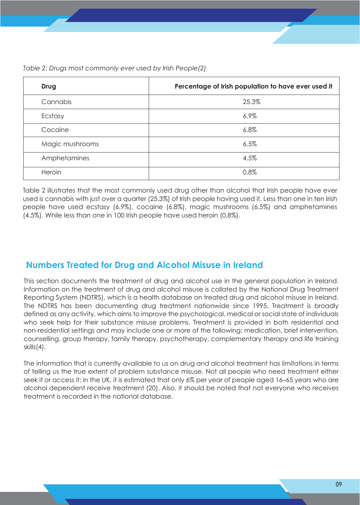*Table 2: Drugs most commonly ever used by Irish People(2)*

| Drug            | Percentage of Irish population to have ever used it |
|-----------------|-----------------------------------------------------|
| Cannabis        | 25.3%                                               |
| Ecstasy         | 6.9%                                                |
| Cocaine         | 6.8%                                                |
| Magic mushrooms | 6.5%                                                |
| Amphetamines    | 4.5%                                                |
| Heroin          | 0.8%                                                |

Table 2 illustrates that the most commonly used drug other than alcohol that Irish people have ever used is cannabis with just over a quarter (25.3%) of Irish people having used it. Less than one in ten Irish people have used ecstasy (6.9%), cocaine (6.8%), magic mushrooms (6.5%) and amphetamines (4.5%). While less than one in 100 Irish people have used heroin (0.8%).

### **Numbers Treated for Drug and Alcohol Misuse in Ireland**

This section documents the treatment of drug and alcohol use in the general population in Ireland. Information on the treatment of drug and alcohol misuse is collated by the National Drug Treatment Reporting System (NDTRS), which is a health database on treated drug and alcohol misuse in Ireland. The NDTRS has been documenting drug treatment nationwide since 1995. Treatment is broadly defined as any activity, which aims to improve the psychological, medical or social state of individuals who seek help for their substance misuse problems. Treatment is provided in both residential and non-residential settings and may include one or more of the following: medication, brief intervention, counselling, group therapy, family therapy, psychotherapy, complementary therapy and life training skills(4).

The information that is currently available to us on drug and alcohol treatment has limitations in terms of telling us the true extent of problem substance misuse. Not all people who need treatment either seek it or access it: in the UK, it is estimated that only 6% per year of people aged 16–65 years who are alcohol dependent receive treatment (20). Also, it should be noted that not everyone who receives treatment is recorded in the national database.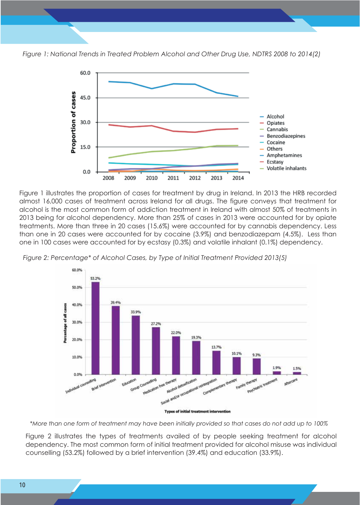

*Figure 1: National Trends in Treated Problem Alcohol and Other Drug Use, NDTRS 2008 to 2014(2)*



Figure 1 illustrates the proportion of cases for treatment by drug in Ireland. In 2013 the HRB recorded almost 16,000 cases of treatment across Ireland for all drugs. The figure conveys that treatment for alcohol is the most common form of addiction treatment in Ireland with almost 50% of treatments in 2013 being for alcohol dependency. More than 25% of cases in 2013 were accounted for by opiate treatments. More than three in 20 cases (15.6%) were accounted for by cannabis dependency. Less than one in 20 cases were accounted for by cocaine (3.9%) and benzodiazepam (4.5%). Less than one in 100 cases were accounted for by ecstasy (0.3%) and volatile inhalant (0.1%) dependency.





**Types of initial treatment intervention** 

*\*More than one form of treatment may have been initially provided so that cases do not add up to 100%*

Figure 2 illustrates the types of treatments availed of by people seeking treatment for alcohol dependency. The most common form of initial treatment provided for alcohol misuse was individual counselling (53.2%) followed by a brief intervention (39.4%) and education (33.9%).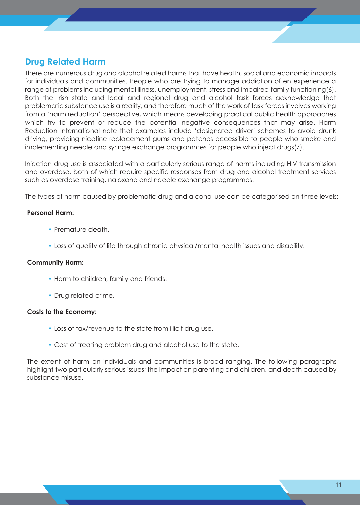### **Drug Related Harm**

There are numerous drug and alcohol related harms that have health, social and economic impacts for individuals and communities. People who are trying to manage addiction often experience a range of problems including mental illness, unemployment, stress and impaired family functioning(6). Both the Irish state and local and regional drug and alcohol task forces acknowledge that problematic substance use is a reality, and therefore much of the work of task forces involves working from a 'harm reduction' perspective, which means developing practical public health approaches which try to prevent or reduce the potential negative consequences that may arise. Harm Reduction International note that examples include 'designated driver' schemes to avoid drunk driving, providing nicotine replacement gums and patches accessible to people who smoke and implementing needle and syringe exchange programmes for people who inject drugs(7).

Injection drug use is associated with a particularly serious range of harms including HIV transmission and overdose, both of which require specific responses from drug and alcohol treatment services such as overdose training, naloxone and needle exchange programmes.

The types of harm caused by problematic drug and alcohol use can be categorised on three levels:

#### **Personal Harm:**

- Premature death.
- Loss of quality of life through chronic physical/mental health issues and disability.

#### **Community Harm:**

- Harm to children, family and friends.
- Drug related crime.

#### **Costs to the Economy:**

- Loss of tax/revenue to the state from illicit drug use.
- Cost of treating problem drug and alcohol use to the state.

The extent of harm on individuals and communities is broad ranging. The following paragraphs highlight two particularly serious issues; the impact on parenting and children, and death caused by substance misuse.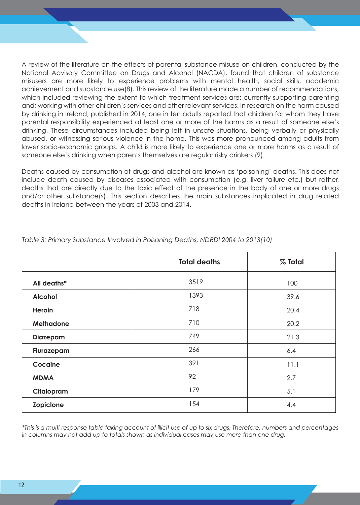A review of the literature on the effects of parental substance misuse on children, conducted by the National Advisory Committee on Drugs and Alcohol (NACDA), found that children of substance misusers are more likely to experience problems with mental health, social skills, academic achievement and substance use(8). This review of the literature made a number of recommendations, which included reviewing the extent to which treatment services are: currently supporting parenting and; working with other children's services and other relevant services. In research on the harm caused by drinking in Ireland, published in 2014, one in ten adults reported that children for whom they have parental responsibility experienced at least one or more of the harms as a result of someone else's drinking. These circumstances included being left in unsafe situations, being verbally or physically abused, or witnessing serious violence in the home. This was more pronounced among adults from lower socio-economic groups. A child is more likely to experience one or more harms as a result of someone else's drinking when parents themselves are regular risky drinkers (9).

Deaths caused by consumption of drugs and alcohol are known as 'poisoning' deaths. This does not include death caused by diseases associated with consumption (e.g. liver failure etc.) but rather, deaths that are directly due to the toxic effect of the presence in the body of one or more drugs and/or other substance(s). This section describes the main substances implicated in drug related deaths in Ireland between the years of 2003 and 2014.

|                  | <b>Total deaths</b> | % Total |
|------------------|---------------------|---------|
| All deaths*      | 3519                | 100     |
| <b>Alcohol</b>   | 1393                | 39.6    |
| Heroin           | 718                 | 20.4    |
| <b>Methadone</b> | 710                 | 20.2    |
| <b>Diazepam</b>  | 749                 | 21.3    |
| Flurazepam       | 266                 | 6.4     |
| Cocaine          | 391                 | 11.1    |
| <b>MDMA</b>      | 92                  | 2.7     |
| Citalopram       | 179                 | 5.1     |
| Zopiclone        | 154                 | 4.4     |

*Table 3: Primary Substance Involved in Poisoning Deaths, NDRDI 2004 to 2013(10)*

*\*This is a multi-response table taking account of illicit use of up to six drugs. Therefore, numbers and percentages in columns may not add up to totals shown as individual cases may use more than one drug.*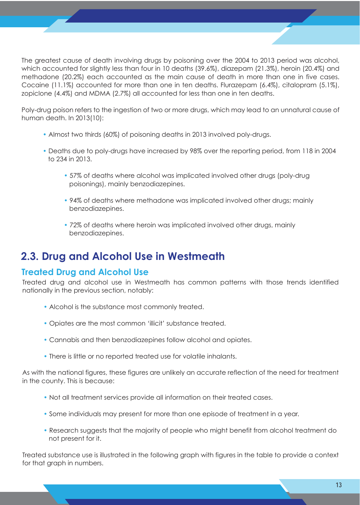The greatest cause of death involving drugs by poisoning over the 2004 to 2013 period was alcohol, which accounted for slightly less than four in 10 deaths (39.6%), diazepam (21.3%), heroin (20.4%) and methadone (20.2%) each accounted as the main cause of death in more than one in five cases. Cocaine (11.1%) accounted for more than one in ten deaths. Flurazepam (6.4%), citalopram (5.1%), zopiclone (4.4%) and MDMA (2.7%) all accounted for less than one in ten deaths.

Poly-drug poison refers to the ingestion of two or more drugs, which may lead to an unnatural cause of human death. In 2013(10):

- Almost two thirds (60%) of poisoning deaths in 2013 involved poly-drugs.
- Deaths due to poly-drugs have increased by 98% over the reporting period, from 118 in 2004 to 234 in 2013.
	- 57% of deaths where alcohol was implicated involved other drugs (poly-drug poisonings), mainly benzodiazepines.
	- 94% of deaths where methadone was implicated involved other drugs; mainly benzodiazepines.
	- 72% of deaths where heroin was implicated involved other drugs, mainly benzodiazepines.

## **2.3. Drug and Alcohol Use in Westmeath**

### **Treated Drug and Alcohol Use**

Treated drug and alcohol use in Westmeath has common patterns with those trends identified nationally in the previous section, notably:

- Alcohol is the substance most commonly treated.
- Opiates are the most common 'illicit' substance treated.
- Cannabis and then benzodiazepines follow alcohol and opiates.
- There is little or no reported treated use for volatile inhalants.

As with the national figures, these figures are unlikely an accurate reflection of the need for treatment in the county. This is because:

- Not all treatment services provide all information on their treated cases.
- Some individuals may present for more than one episode of treatment in a year.
- Research suggests that the majority of people who might benefit from alcohol treatment do not present for it.

Treated substance use is illustrated in the following graph with figures in the table to provide a context for that graph in numbers.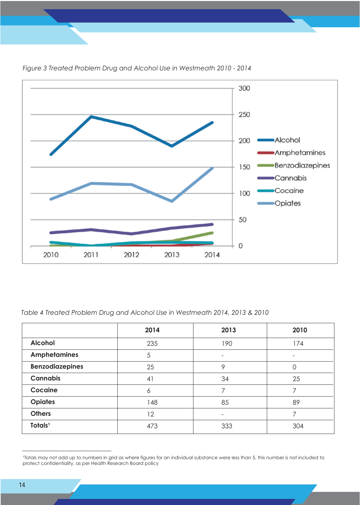

#### *Figure 3 Treated Problem Drug and Alcohol Use in Westmeath 2010 - 2014*

#### *Table 4 Treated Problem Drug and Alcohol Use in Westmeath 2014, 2013 & 2010*

|                        | 2014 | 2013 | 2010 |
|------------------------|------|------|------|
| <b>Alcohol</b>         | 235  | 190  | 174  |
| <b>Amphetamines</b>    | 5    |      | -    |
| <b>Benzodiazepines</b> | 25   | 9    | Ω    |
| <b>Cannabis</b>        | 41   | 34   | 25   |
| Cocaine                | 6    |      |      |
| <b>Opiates</b>         | 148  | 85   | 89   |
| <b>Others</b>          | 12   |      |      |
| Totals <sup>1</sup>    | 473  | 333  | 304  |

Totals may not add up to numbers in grid as where figures for an individual substance were less than 5, this number is not included to protect confidentiality, as per Health Research Board policy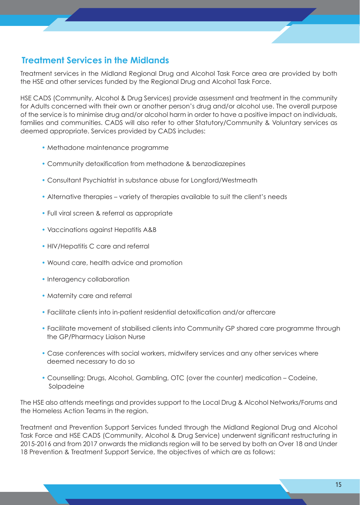### **Treatment Services in the Midlands**

Treatment services in the Midland Regional Drug and Alcohol Task Force area are provided by both the HSE and other services funded by the Regional Drug and Alcohol Task Force.

HSE CADS (Community, Alcohol & Drug Services) provide assessment and treatment in the community for Adults concerned with their own or another person's drug and/or alcohol use. The overall purpose of the service is to minimise drug and/or alcohol harm in order to have a positive impact on individuals, families and communities. CADS will also refer to other Statutory/Community & Voluntary services as deemed appropriate. Services provided by CADS includes:

- Methadone maintenance programme
- Community detoxification from methadone & benzodiazepines
- Consultant Psychiatrist in substance abuse for Longford/Westmeath
- Alternative therapies variety of therapies available to suit the client's needs
- Full viral screen & referral as appropriate
- Vaccinations against Hepatitis A&B
- HIV/Hepatitis C care and referral
- Wound care, health advice and promotion
- Interagency collaboration
- Maternity care and referral
- Facilitate clients into in-patient residential detoxification and/or aftercare
- Facilitate movement of stabilised clients into Community GP shared care programme through the GP/Pharmacy Liaison Nurse
- Case conferences with social workers, midwifery services and any other services where deemed necessary to do so
- Counselling: Drugs, Alcohol, Gambling, OTC (over the counter) medication Codeine, Solpadeine

The HSE also attends meetings and provides support to the Local Drug & Alcohol Networks/Forums and the Homeless Action Teams in the region.

Treatment and Prevention Support Services funded through the Midland Regional Drug and Alcohol Task Force and HSE CADS (Community, Alcohol & Drug Service) underwent significant restructuring in 2015-2016 and from 2017 onwards the midlands region will to be served by both an Over 18 and Under 18 Prevention & Treatment Support Service, the objectives of which are as follows: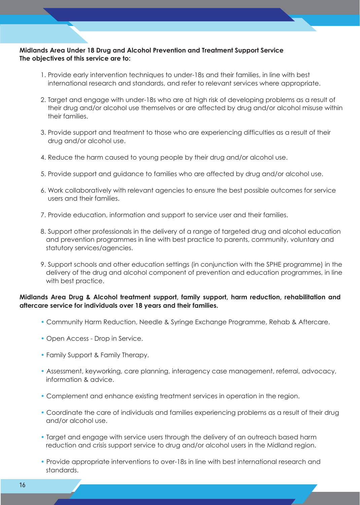#### **Midlands Area Under 18 Drug and Alcohol Prevention and Treatment Support Service The objectives of this service are to:**

- 1. Provide early intervention techniques to under-18s and their families, in line with best international research and standards, and refer to relevant services where appropriate.
- 2. Target and engage with under-18s who are at high risk of developing problems as a result of their drug and/or alcohol use themselves or are affected by drug and/or alcohol misuse within their families.
- 3. Provide support and treatment to those who are experiencing difficulties as a result of their drug and/or alcohol use.
- 4. Reduce the harm caused to young people by their drug and/or alcohol use.
- 5. Provide support and guidance to families who are affected by drug and/or alcohol use.
- 6. Work collaboratively with relevant agencies to ensure the best possible outcomes for service users and their families.
- 7. Provide education, information and support to service user and their families.
- 8. Support other professionals in the delivery of a range of targeted drug and alcohol education and prevention programmes in line with best practice to parents, community, voluntary and statutory services/agencies.
- 9. Support schools and other education settings (in conjunction with the SPHE programme) in the delivery of the drug and alcohol component of prevention and education programmes, in line with best practice.

#### **Midlands Area Drug & Alcohol treatment support, family support, harm reduction, rehabilitation and aftercare service for individuals over 18 years and their families.**

- Community Harm Reduction, Needle & Syringe Exchange Programme, Rehab & Aftercare.
- Open Access Drop in Service.
- Family Support & Family Therapy.
- Assessment, keyworking, care planning, interagency case management, referral, advocacy, information & advice.
- Complement and enhance existing treatment services in operation in the region.
- Coordinate the care of individuals and families experiencing problems as a result of their drug and/or alcohol use.
- Target and engage with service users through the delivery of an outreach based harm reduction and crisis support service to drug and/or alcohol users in the Midland region.
- Provide appropriate interventions to over-18s in line with best international research and standards.

•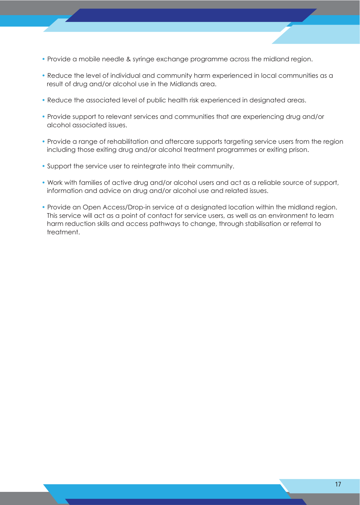- Provide a mobile needle & syringe exchange programme across the midland region.
- Reduce the level of individual and community harm experienced in local communities as a result of drug and/or alcohol use in the Midlands area.
- Reduce the associated level of public health risk experienced in designated areas.
- Provide support to relevant services and communities that are experiencing drug and/or alcohol associated issues.
- Provide a range of rehabilitation and aftercare supports targeting service users from the region including those exiting drug and/or alcohol treatment programmes or exiting prison.
- Support the service user to reintegrate into their community.
- Work with families of active drug and/or alcohol users and act as a reliable source of support, information and advice on drug and/or alcohol use and related issues.
- Provide an Open Access/Drop-in service at a designated location within the midland region. This service will act as a point of contact for service users, as well as an environment to learn harm reduction skills and access pathways to change, through stabilisation or referral to treatment.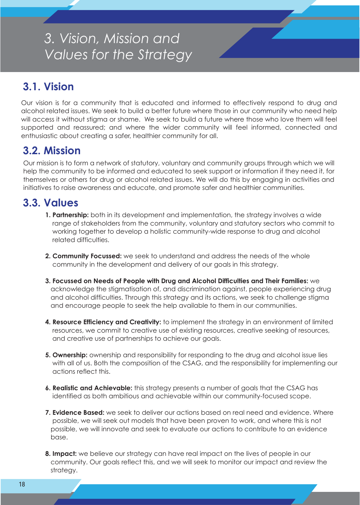# *3. Vision, Mission and Values for the Strategy*

# **3.1. Vision**

Our vision is for a community that is educated and informed to effectively respond to drug and alcohol related issues. We seek to build a better future where those in our community who need help will access it without stigma or shame. We seek to build a future where those who love them will feel supported and reassured; and where the wider community will feel informed, connected and enthusiastic about creating a safer, healthier community for all.

### **3.2. Mission**

Our mission is to form a network of statutory, voluntary and community groups through which we will help the community to be informed and educated to seek support or information if they need it, for themselves or others for drug or alcohol related issues. We will do this by engaging in activities and initiatives to raise awareness and educate, and promote safer and healthier communities.

## **3.3. Values**

- **1. Partnership:** both in its development and implementation, the strategy involves a wide range of stakeholders from the community, voluntary and statutory sectors who commit to working together to develop a holistic community-wide response to drug and alcohol related difficulties.
- **2. Community Focussed:** we seek to understand and address the needs of the whole community in the development and delivery of our goals in this strategy.
- **3. Focussed on Needs of People with Drug and Alcohol Difficulties and Their Families:** we acknowledge the stigmatisation of, and discrimination against, people experiencing drug and alcohol difficulties. Through this strategy and its actions, we seek to challenge stigma and encourage people to seek the help available to them in our communities.
- **4. Resource Efficiency and Creativity:** to implement the strategy in an environment of limited resources, we commit to creative use of existing resources, creative seeking of resources, and creative use of partnerships to achieve our goals.
- **5. Ownership:** ownership and responsibility for responding to the drug and alcohol issue lies with all of us. Both the composition of the CSAG, and the responsibility for implementing our actions reflect this.
- **6. Realistic and Achievable:** this strategy presents a number of goals that the CSAG has identified as both ambitious and achievable within our community-focused scope.
- **7. Evidence Based:** we seek to deliver our actions based on real need and evidence. Where possible, we will seek out models that have been proven to work, and where this is not possible, we will innovate and seek to evaluate our actions to contribute to an evidence base.
- **8. Impact:** we believe our strategy can have real impact on the lives of people in our community. Our goals reflect this, and we will seek to monitor our impact and review the strategy.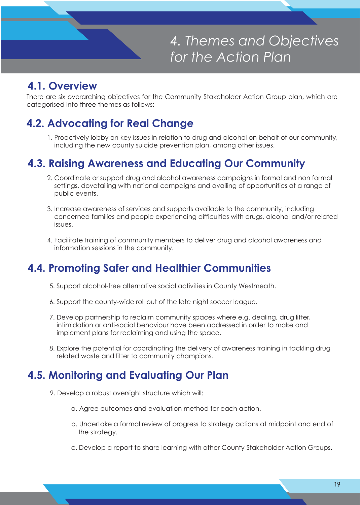

*4. Themes and Objectives for the Action Plan*

## **4.1. Overview**

There are six overarching objectives for the Community Stakeholder Action Group plan, which are categorised into three themes as follows:

# **4.2. Advocating for Real Change**

 1. Proactively lobby on key issues in relation to drug and alcohol on behalf of our community, including the new county suicide prevention plan, among other issues.

## **4.3. Raising Awareness and Educating Our Community**

- 2. Coordinate or support drug and alcohol awareness campaigns in formal and non formal settings, dovetailing with national campaigns and availing of opportunities at a range of public events.
- 3. Increase awareness of services and supports available to the community, including concerned families and people experiencing difficulties with drugs, alcohol and/or related issues.
- 4. Facilitate training of community members to deliver drug and alcohol awareness and information sessions in the community.

# **4.4. Promoting Safer and Healthier Communities**

- 5. Support alcohol-free alternative social activities in County Westmeath.
- 6. Support the county-wide roll out of the late night soccer league.
- 7. Develop partnership to reclaim community spaces where e.g. dealing, drug litter, intimidation or anti-social behaviour have been addressed in order to make and implement plans for reclaiming and using the space.
- 8. Explore the potential for coordinating the delivery of awareness training in tackling drug related waste and litter to community champions.

## **4.5. Monitoring and Evaluating Our Plan**

- 9. Develop a robust oversight structure which will:
	- a. Agree outcomes and evaluation method for each action.
	- b. Undertake a formal review of progress to strategy actions at midpoint and end of the strategy.
	- c. Develop a report to share learning with other County Stakeholder Action Groups.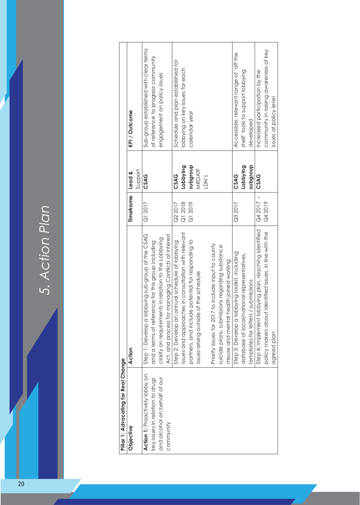5. Action Plan *5. Action Plan*

| Pillar 1: Advocating for Real Change |                                                         |            |          |                                        |  |
|--------------------------------------|---------------------------------------------------------|------------|----------|----------------------------------------|--|
| Objective                            | Action                                                  | Timeframe  | Lead &   | KPI/Outcome                            |  |
|                                      |                                                         |            | Support  |                                        |  |
| Action 1: Proactively lobby on       | Step 1: Develop a lobbying sub-group of the CSAG        | Q12017     | CSAG     | Sub-group established with clear terms |  |
| key issues in relation to drugs      | and a terms of reference for this group including       |            |          | of reference to progress community     |  |
| and alcohol on behalf of our         | clarity on requirements in relation to the Lobbying     |            |          | engagement on policy issues            |  |
| community                            | Act, and process for managing Conflicts of Interest     |            |          |                                        |  |
|                                      | Step 2: Develop an annual schedule of lobbying          | Q2 2017    | CSAG     | Schedule and plan established for      |  |
|                                      | issues and approaches in consultation with relevant     | Q1 2018    | Lobbying | lobbying on key issues for each        |  |
|                                      | partners, and include potential for responding to       | Q1 2019    | dnonbans | calendar year                          |  |
|                                      | issues arising outside of the schedule                  |            | MRDATF   |                                        |  |
|                                      |                                                         |            | LDN's    |                                        |  |
|                                      | Priority issues for 2017 to include input to county     |            |          |                                        |  |
|                                      | suicide plans, submissions regarding substance          |            |          |                                        |  |
|                                      | misuse and mental health joined working                 |            |          |                                        |  |
|                                      | Step 3: Develop a lobbying toolkit, including           | Q3 2017    | CSAG     | Accessible, relevant range of 'off the |  |
|                                      | database of local/national representatives,             |            | Lobbying | shelf' tools to support lobbying       |  |
|                                      | templates for letters / submissions                     |            | dnonbans | developed                              |  |
|                                      | Step 4: Implement lobbying plan, reaching identified    | $Q42017 -$ | CSAG     | Increased participation by the         |  |
|                                      | policy makers about identified issues, in line with the | Q4 2019    |          | community in raising awareness of key  |  |
|                                      | agreed plan                                             |            |          | issues at policy level                 |  |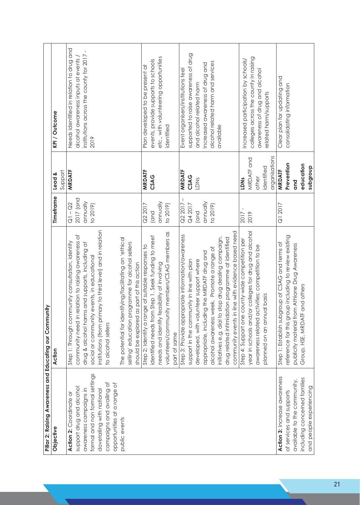| Pillar 2: Raising Awareness and Educating our Community |                                                            |            |               |                                           |
|---------------------------------------------------------|------------------------------------------------------------|------------|---------------|-------------------------------------------|
| Objective                                               | Action                                                     | Timeframe  | Lead &        | KPI / Outcome                             |
|                                                         |                                                            |            | Support       |                                           |
| Action 2: Coordinate or                                 | Step 1: Through community consultation, identify           | $Q1 - Q2$  | MRDATF        | Needs identified in relation to drug and  |
| support drug and alcohol                                | community need in relation to raising awareness of         | 2017 (and  |               | alcohol awareness inputs at events /      |
| awareness campaigns in                                  | drug & alcohol harms and supports, including at            | annually   |               | institutions across the county for 2017 - |
| formal and non formal settings                          | social or community events, in educational                 | to 2019)   |               | 2019                                      |
| dovetailing with national                               | institutions (from primary to third level) and in relation |            |               |                                           |
| campaigns and availing of                               | to alcohol sellers                                         |            |               |                                           |
| opportunities at a range of                             |                                                            |            |               |                                           |
| public events                                           | The potential for identifying/facilitating an 'ethical     |            |               |                                           |
|                                                         | selling' education programme for alcohol sellers           |            |               |                                           |
|                                                         | should be explored as part of this action                  |            |               |                                           |
|                                                         | Step 2: Identify a range of suitable responses to          | Q2 2017    | MRDATF        | Plan developed to be present at           |
|                                                         | identified needs from Step 1. Seek funding to meet         | (and       | CSAG          | events, provide supports to schools       |
|                                                         | needs and identify feasibility of involving                | annually   |               | etc., with volunteering opportunities     |
|                                                         | volunteers/community members/CSAG members as               | to 2019)   |               | identified                                |
|                                                         | part of same                                               |            |               |                                           |
|                                                         | Step 3: Provide appropriate information/awareness          | $Q22017 -$ | <b>MRDATF</b> | Event organisers/institutions feel        |
|                                                         | support in the community in line with plan                 | Q4 2017    | CSAG          | supported to raise awareness of drug      |
|                                                         | developed, with volunteer support where                    | and)       | LDNS          | and alcohol related harm                  |
|                                                         | appropriate, including the MRDATF drug and                 | annually   |               | Increased awareness of drug and           |
|                                                         | alcohol awareness week. Promote a range of                 | to 2019)   |               | alcohol related harm and services         |
|                                                         | initiatives e.g. dial to stop drug dealing campaign,       |            |               | available                                 |
|                                                         | drug related intimidation programme at identified          |            |               |                                           |
|                                                         | community events in line with evidence based need          |            |               |                                           |
|                                                         | step 4: Support one county-wide competition per            | 2017       | LDNs          | Increased participation by schools/       |
|                                                         | year in schools and/or colleges for drug and alcohol       | 2019       | MRDATF and    | colleges across the county in raising     |
|                                                         | awareness related activities; competition to be            |            | other         | awareness of drug and alcohol             |
|                                                         | basis<br>planned on an annual                              |            | identified    | related harm/supports                     |
|                                                         |                                                            |            | organisations |                                           |
| Action 3: Increase awareness                            | Step 1: Establish subgroup of CSAG and terms of            | Q1 2017    | <b>MRDATF</b> | Clear plan for updating and               |
| of services and supports                                | reference for this group including to review existing      |            | Prevention    | consolidating information                 |
| available to the community,                             | publicity material from Athlone Drug Awareness             |            | and           |                                           |
| including concerned families                            | Group, HSE, MRDATF and others                              |            | education     |                                           |
| and people experiencing                                 |                                                            |            | dnonbqns      |                                           |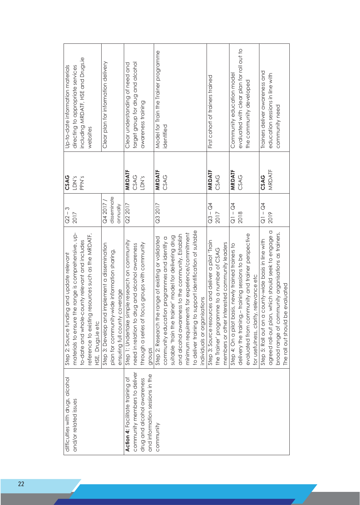| difficulties with drugs, alcohol                    | CSAG<br>LDN's<br>$Q2 - 3$<br>2017<br>materials to ensure the range is comprehensive, up-<br>and update relevant<br>Step 2: Source funding | Up-to-date information materials<br>directing to appropriate services |
|-----------------------------------------------------|-------------------------------------------------------------------------------------------------------------------------------------------|-----------------------------------------------------------------------|
|                                                     | PPN's<br>to-date and whole-county relevant and includes                                                                                   | including MRDATF, HSE and Drugs.ie                                    |
| HSE, Drugs.ie etc                                   | reference to existing resources such as the MRDATF,                                                                                       | websites                                                              |
|                                                     | Q4 2017/<br>Step 3: Develop and implement a dissemination                                                                                 | Clear plan for information delivery                                   |
|                                                     | disseminate<br>plan for community-wide information sharing,                                                                               |                                                                       |
| ensuring full county coverage                       | qnnually                                                                                                                                  |                                                                       |
|                                                     | <b>MRDATF</b><br>Q2 2017<br>Step 1: Undertake simple research on community                                                                | Clear understanding of need and                                       |
|                                                     | CSAG<br>need in relation to drug and alcohol awareness                                                                                    | target group for drug and alcohol                                     |
|                                                     | LDN's<br>through a series of focus groups with community                                                                                  | awareness training                                                    |
| groups                                              |                                                                                                                                           |                                                                       |
|                                                     | <b>MRDATF</b><br>Q3 2017<br>Step 2: Research the range of existing or validated                                                           | Model for Train the Trainer programme                                 |
| community education                                 | CSAG<br>programmes and identify a                                                                                                         | identified                                                            |
|                                                     | suitable 'train the trainer' model for delivering drug                                                                                    |                                                                       |
|                                                     | and alcohol awareness to the community. Establish                                                                                         |                                                                       |
|                                                     | minimum requirements for experience/commitment                                                                                            |                                                                       |
|                                                     | to deliver training to support identification of suitable                                                                                 |                                                                       |
| individuals or organisations                        |                                                                                                                                           |                                                                       |
|                                                     | <b>MRDATF</b><br>$Q3 - Q4$<br>Step 3: Source resources and deliver a pilot 'Train                                                         | First cohort of trainers trained                                      |
| the Trainer' programme to a number of CSAG          | CSAG<br>2017                                                                                                                              |                                                                       |
|                                                     | members or other interested community leaders                                                                                             |                                                                       |
| Step 4: On a pilot basis, newly trained trainers to | <b>MRDATF</b><br>$Q1 - Q4$                                                                                                                | Community education model                                             |
| delivery the training,-                             | CSAG<br>2018<br>training sessions to be                                                                                                   | evaluated with clear plan for roll out to                             |
|                                                     | evaluated from community and trainer perspective                                                                                          | the community developed                                               |
| for usefulness, clarity, relevance etc              |                                                                                                                                           |                                                                       |
|                                                     | CSAG<br>$Q1 - Q4$<br>Step 5: Roll out on a county-wide basis in line with                                                                 | Trainers deliver awareness and                                        |
|                                                     | MRDATF<br>2019<br>agreed roll-out plan, which should seek to engage a                                                                     | education sessions in line with                                       |
|                                                     | broad range of community organisations as trainers.                                                                                       | community need                                                        |
| The roll out should be evaluated                    |                                                                                                                                           |                                                                       |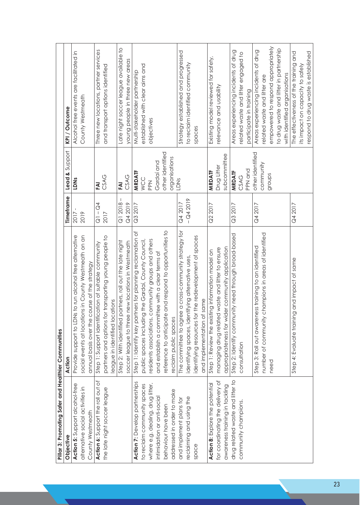| Pillar 3: Promoting Safer and Healthier Communities |                                                           |             |                  |                                          |
|-----------------------------------------------------|-----------------------------------------------------------|-------------|------------------|------------------------------------------|
| Objective                                           | Action                                                    | Timeframe   | Lead & Support   | KPI/Outcome                              |
| Action 5: Support alcohol-free                      | Provide support to LDNs to run alcohol free alternative   | 2017        | LDNs             | Alcohol free events are facilitated in   |
| alternative social activities in                    | social events at locations in County Westmeath on an      | 2019        |                  | County Westmeath                         |
| County Westmeath                                    | annual basis over the course of the strategy              |             |                  |                                          |
| Action 6: Support the roll out of                   | Step 1: Support identification of suitable community      | $Q1 - Q4$   | FAI              | Three new locations, partner services    |
| the late night soccer league                        | partners and options for transporting young people to     | 2017        | CSAG             | and transport options identified         |
|                                                     | eague in identified locations                             |             |                  |                                          |
|                                                     | Step 2: With identified partners, roll out the late night | $Q12018 -$  | FAI              | Late night soccer league available to    |
|                                                     | soccer league to three new locations in Westmeath         | Q4 2019     | CSAG             | young people in three new areas          |
| Action 7: Develop partnerships                      | Step 1: Identify key partners for planning reclamation of | Q3 2017     | <b>MRDATF</b>    | Multi-stakeholder partnership            |
| to reclaim community spaces                         | public spaces including the Gardaí, County Council,       |             | WCC              | established with clear aims and          |
| where e.g. dealing, drug litter,                    | residents associations, community groups and others       |             | <b>Ndd</b>       | objectives                               |
| intimidation or anti-social                         | and establish a committee with a clear terms of           |             | Gardaí and       |                                          |
| behaviour have been                                 | reference to anticipate and respond to opportunities to   |             | other identified |                                          |
| addressed in order to make                          | reclaim public spaces                                     |             | organisations    |                                          |
| and implement plans for                             | The committee to agree a cross-community strategy for     | Q4 2017     | LDNS             | Strategy established and progressed      |
| reclaiming and using the                            | identifying spaces, identifying alternative uses,         | $-$ Q4 2019 |                  | to reclaim identified community          |
| space                                               | identifying resources for the redevelopment of spaces     |             |                  | spaces                                   |
|                                                     | and implementation of same                                |             |                  |                                          |
| Action 8: Explore the potential                     | Step 1: Review the existing information model on          | Q2 2017     | MRDATF           | Existing model reviewed for safety,      |
| for coordinating the delivery of                    | managing drug related waste and litter to ensure          |             | Drug Litter      | relevance and usability                  |
| awareness training in tackling                      | community application<br>appropriateness for wider        |             | subcommittee     |                                          |
| drug related waste and litter to                    | Step 2: Identify community need through broad-based       | Q3 2017     | <b>MRDATF</b>    | Areas experiencing incidents of drug     |
| community champions.                                | consultation                                              |             | CSAG             | related waste and litter engaged to      |
|                                                     |                                                           |             | PPN and          | participate in training                  |
|                                                     | Step 3: Roll out awareness training to an identified      | Q4 2017     | other identified | Areas experiencing incidents of drug     |
|                                                     | number of community champions in areas of identified      |             | community        | related waste and litter are             |
|                                                     | need                                                      |             | groups           | empowered to respond appropriately       |
|                                                     |                                                           |             |                  | to drug waste and litter in partnership  |
|                                                     |                                                           |             |                  | with identified organisations            |
|                                                     | Step 4: Evaluate training and impact of same              | Q4 2017     |                  | and<br>The effectiveness of the training |
|                                                     |                                                           |             |                  | its impact on capacity to safely         |
|                                                     |                                                           |             |                  | respond to drug waste is established     |